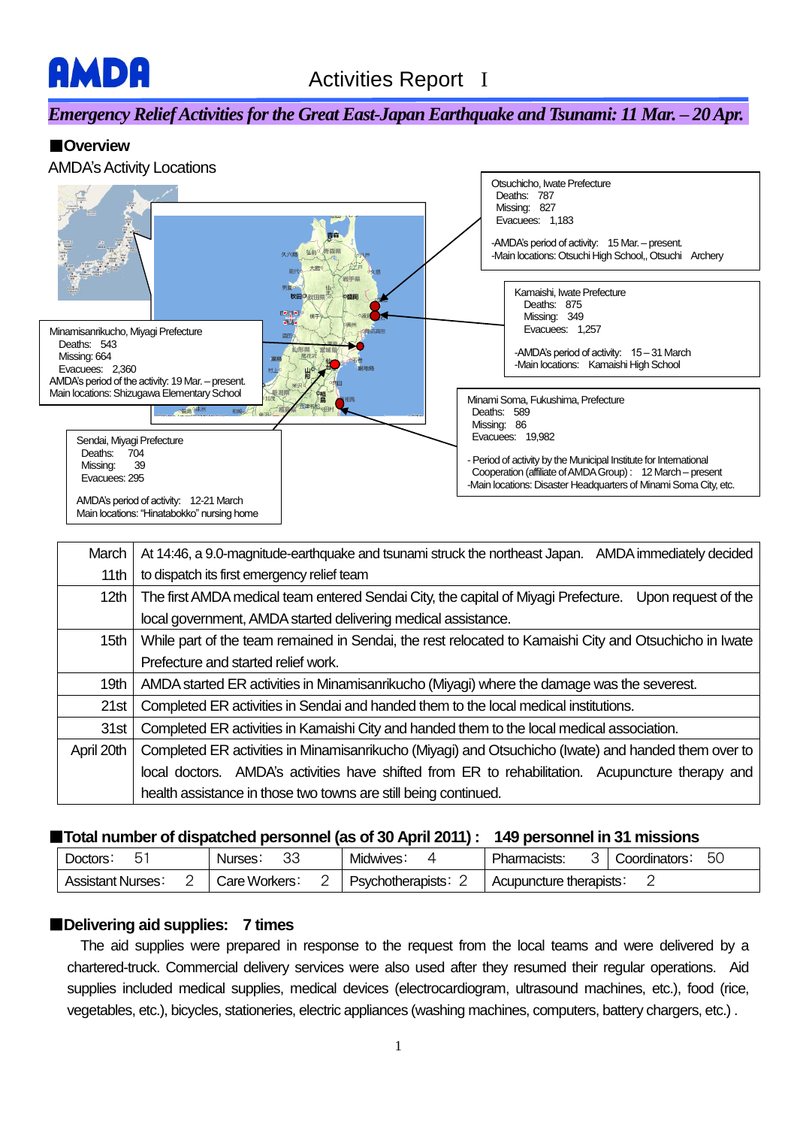

# *Emergency Relief Activities forthe Great East-Japan Earthquake and Tsunami: 11 Mar. – 20 Apr.*

## ■**Overview**



| March            | At 14:46, a 9.0-magnitude-earthquake and tsunami struck the northeast Japan.<br>AMDA immediately decided  |  |  |  |  |
|------------------|-----------------------------------------------------------------------------------------------------------|--|--|--|--|
| 11 <sub>th</sub> | to dispatch its first emergency relief team                                                               |  |  |  |  |
| 12 <sub>th</sub> | The first AMDA medical team entered Sendai City, the capital of Miyagi Prefecture.<br>Upon request of the |  |  |  |  |
|                  | local government, AMDA started delivering medical assistance.                                             |  |  |  |  |
| 15th             | While part of the team remained in Sendai, the rest relocated to Kamaishi City and Otsuchicho in Iwate    |  |  |  |  |
|                  | Prefecture and started relief work.                                                                       |  |  |  |  |
| 19 <sub>th</sub> | AMDA started ER activities in Minamisanrikucho (Miyagi) where the damage was the severest.                |  |  |  |  |
| 21st             | Completed ER activities in Sendai and handed them to the local medical institutions.                      |  |  |  |  |
| 31st             | Completed ER activities in Kamaishi City and handed them to the local medical association.                |  |  |  |  |
| April 20th       | Completed ER activities in Minamisanrikucho (Miyagi) and Otsuchicho (Iwate) and handed them over to       |  |  |  |  |
|                  | local doctors. AMDA's activities have shifted from ER to rehabilitation.<br>Acupuncture therapy and       |  |  |  |  |
|                  | health assistance in those two towns are still being continued.                                           |  |  |  |  |

#### ■**Total number of dispatched personnel (as of 30 April 2011) : 149 personnel in 31 missions**

| Doctors:                |  | n r<br>Nurses.<br>ےں | Midwives:         | 50<br>Pharmacists:<br>Coordinators: |
|-------------------------|--|----------------------|-------------------|-------------------------------------|
| <b>Assistant Nurses</b> |  | Care Workers:<br>_   | Psychotherapists. | Acupuncture therapists.             |

### ■**Delivering aid supplies: 7 times**

 The aid supplies were prepared in response to the request from the local teams and were delivered by a chartered-truck. Commercial delivery services were also used after they resumed their regular operations. Aid supplies included medical supplies, medical devices (electrocardiogram, ultrasound machines, etc.), food (rice, vegetables, etc.), bicycles, stationeries, electric appliances (washing machines, computers, battery chargers, etc.) .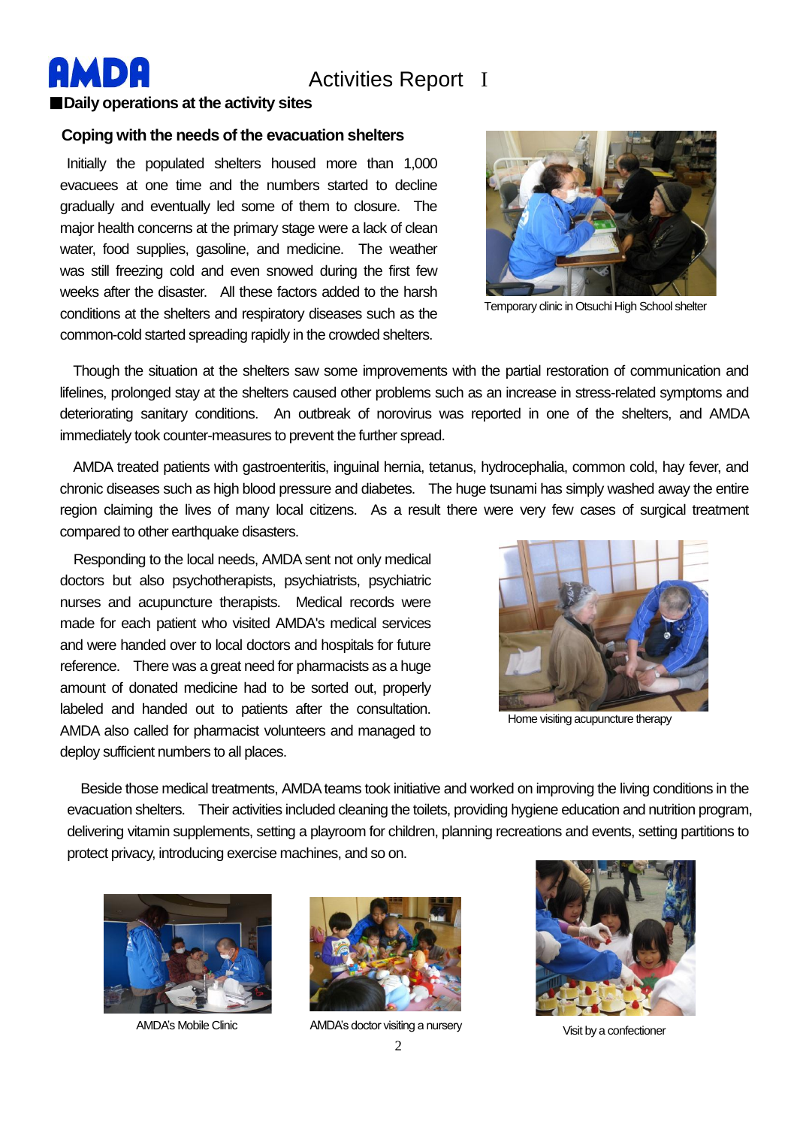

# Activities Report I

#### ■**Daily operations at the activity sites**

#### **Coping with the needs of the evacuation shelters**

Initially the populated shelters housed more than 1,000 evacuees at one time and the numbers started to decline gradually and eventually led some of them to closure. The major health concerns at the primary stage were a lack of clean water, food supplies, gasoline, and medicine. The weather was still freezing cold and even snowed during the first few weeks after the disaster. All these factors added to the harsh conditions at the shelters and respiratory diseases such as the common-cold started spreading rapidly in the crowded shelters.



Temporary clinic in Otsuchi High School shelter

 Though the situation at the shelters saw some improvements with the partial restoration of communication and lifelines, prolonged stay at the shelters caused other problems such as an increase in stress-related symptoms and deteriorating sanitary conditions. An outbreak of norovirus was reported in one of the shelters, and AMDA immediately took counter-measures to prevent the further spread.

 AMDA treated patients with gastroenteritis, inguinal hernia, tetanus, hydrocephalia, common cold, hay fever, and chronic diseases such as high blood pressure and diabetes. The huge tsunami has simply washed away the entire region claiming the lives of many local citizens. As a result there were very few cases of surgical treatment compared to other earthquake disasters.

Responding to the local needs, AMDA sent not only medical doctors but also psychotherapists, psychiatrists, psychiatric nurses and acupuncture therapists. Medical records were made for each patient who visited AMDA's medical services and were handed over to local doctors and hospitals for future reference. There was a great need for pharmacists as a huge amount of donated medicine had to be sorted out, properly labeled and handed out to patients after the consultation. AMDA also called for pharmacist volunteers and managed to deploy sufficient numbers to all places.



Home visiting acupuncture therapy

 Beside those medical treatments, AMDA teams took initiative and worked on improving the living conditions in the evacuation shelters. Their activities included cleaning the toilets, providing hygiene education and nutrition program, delivering vitamin supplements, setting a playroom for children, planning recreations and events, setting partitions to protect privacy, introducing exercise machines, and so on.





AMDA's Mobile Clinic **AMDA's doctor visiting a nursery** 



Visit by a confectioner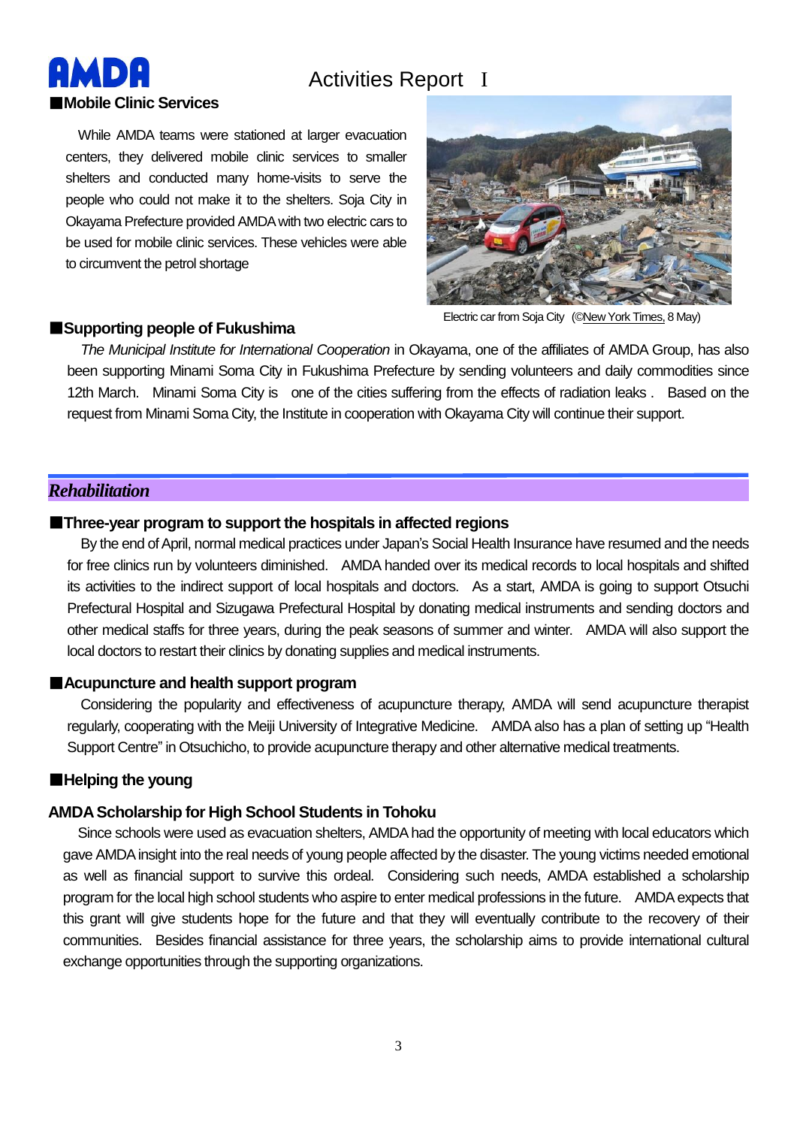# Activities Report I

■**Mobile Clinic Services** While AMDA teams were stationed at larger evacuation centers, they delivered mobile clinic services to smaller shelters and conducted many home-visits to serve the people who could not make it to the shelters. Soja City in Okayama Prefecture provided AMDA with two electric cars to be used for mobile clinic services. These vehicles were able to circumvent the petrol shortage



Electric car from Soja City (©New York Times,

#### ■**Supporting people of Fukushima**

*The Municipal Institute for International Cooperation* in Okayama, one of the affiliates of AMDA Group, has also been supporting Minami Soma City in Fukushima Prefecture by sending volunteers and daily commodities since 12th March. Minami Soma City is one of the cities suffering from the effects of radiation leaks . Based on the request from Minami Soma City, the Institute in cooperation with Okayama City will continue their support.

#### *Rehabilitation*

**MD** 

#### ■**Three-year program to support the hospitals in affected regions**

By the end of April, normal medical practices under Japan's Social Health Insurance have resumed and the needs for free clinics run by volunteers diminished. AMDA handed over its medical records to local hospitals and shifted its activities to the indirect support of local hospitals and doctors. As a start, AMDA is going to support Otsuchi Prefectural Hospital and Sizugawa Prefectural Hospital by donating medical instruments and sending doctors and other medical staffs for three years, during the peak seasons of summer and winter. AMDA will also support the local doctors to restart their clinics by donating supplies and medical instruments.

#### ■**Acupuncture and health support program**

Considering the popularity and effectiveness of acupuncture therapy, AMDA will send acupuncture therapist regularly, cooperating with the Meiji University of Integrative Medicine. AMDA also has a plan of setting up "Health Support Centre" in Otsuchicho, to provide acupuncture therapy and other alternative medical treatments.

### ■**Helping the young**

# **AMDA Scholarship for High School Students in Tohoku**

Since schools were used as evacuation shelters, AMDA had the opportunity of meeting with local educators which gave AMDA insight into the real needs of young people affected by the disaster. The young victims needed emotional as well as financial support to survive this ordeal. Considering such needs, AMDA established a scholarship program for the local high school students who aspire to enter medical professions in the future. AMDA expects that this grant will give students hope for the future and that they will eventually contribute to the recovery of their communities. Besides financial assistance for three years, the scholarship aims to provide international cultural exchange opportunities through the supporting organizations.